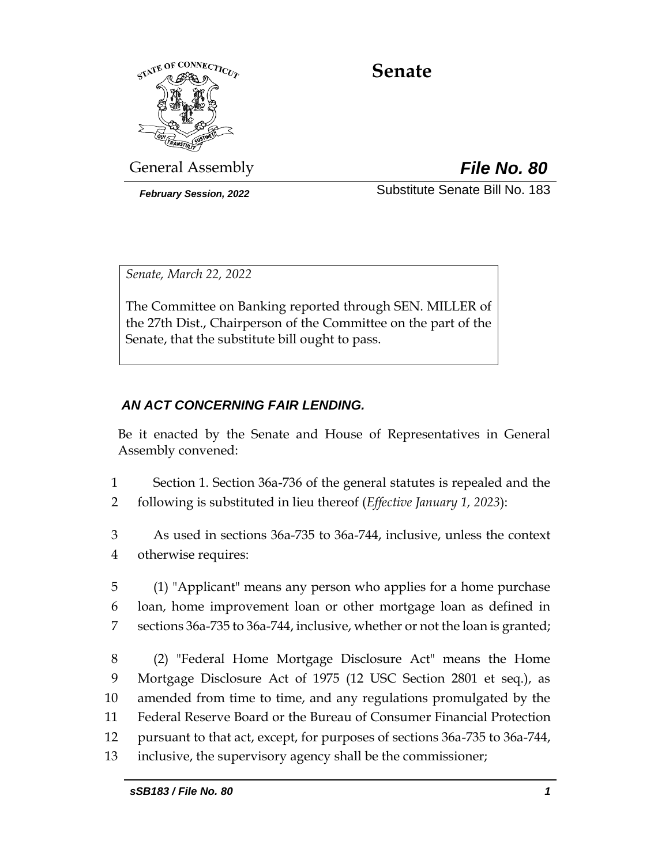

# **Senate**

General Assembly *File No. 80*

*February Session, 2022* Substitute Senate Bill No. 183

*Senate, March 22, 2022*

The Committee on Banking reported through SEN. MILLER of the 27th Dist., Chairperson of the Committee on the part of the Senate, that the substitute bill ought to pass.

# *AN ACT CONCERNING FAIR LENDING.*

Be it enacted by the Senate and House of Representatives in General Assembly convened:

- 1 Section 1. Section 36a-736 of the general statutes is repealed and the
- 2 following is substituted in lieu thereof (*Effective January 1, 2023*):
- 3 As used in sections 36a-735 to 36a-744, inclusive, unless the context 4 otherwise requires:
- 5 (1) "Applicant" means any person who applies for a home purchase 6 loan, home improvement loan or other mortgage loan as defined in 7 sections 36a-735 to 36a-744, inclusive, whether or not the loan is granted;
- 8 (2) "Federal Home Mortgage Disclosure Act" means the Home 9 Mortgage Disclosure Act of 1975 (12 USC Section 2801 et seq.), as 10 amended from time to time, and any regulations promulgated by the 11 Federal Reserve Board or the Bureau of Consumer Financial Protection 12 pursuant to that act, except, for purposes of sections 36a-735 to 36a-744, 13 inclusive, the supervisory agency shall be the commissioner;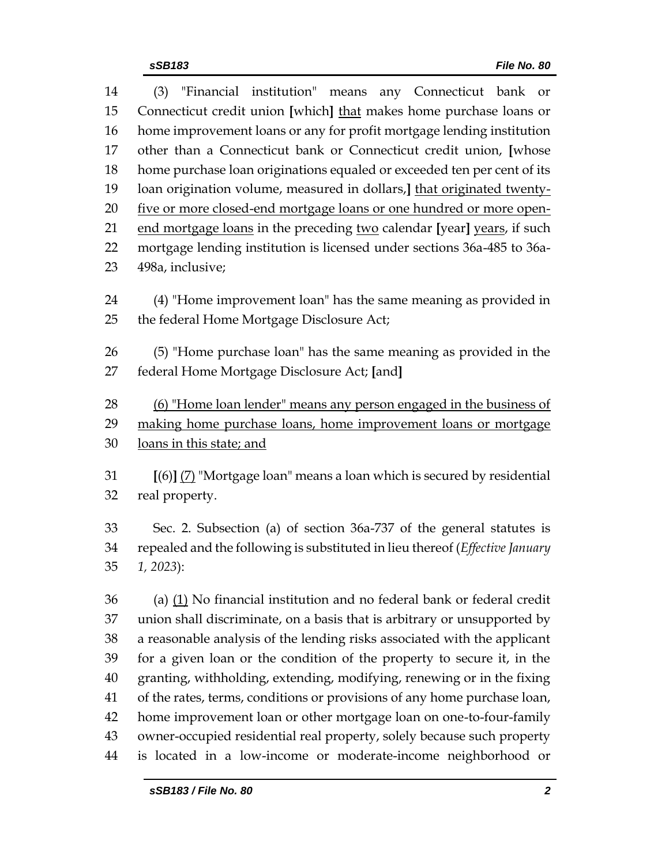| 14 | "Financial institution" means any Connecticut bank or<br>(3)            |  |  |  |  |
|----|-------------------------------------------------------------------------|--|--|--|--|
| 15 | Connecticut credit union [which] that makes home purchase loans or      |  |  |  |  |
| 16 | home improvement loans or any for profit mortgage lending institution   |  |  |  |  |
| 17 | other than a Connecticut bank or Connecticut credit union, [whose       |  |  |  |  |
| 18 | home purchase loan originations equaled or exceeded ten per cent of its |  |  |  |  |
| 19 | loan origination volume, measured in dollars, that originated twenty-   |  |  |  |  |
| 20 | five or more closed-end mortgage loans or one hundred or more open-     |  |  |  |  |
| 21 | end mortgage loans in the preceding two calendar [year] years, if such  |  |  |  |  |
| 22 | mortgage lending institution is licensed under sections 36a-485 to 36a- |  |  |  |  |
| 23 | 498a, inclusive;                                                        |  |  |  |  |
| 24 | (4) "Home improvement loan" has the same meaning as provided in         |  |  |  |  |
| 25 | the federal Home Mortgage Disclosure Act;                               |  |  |  |  |
|    |                                                                         |  |  |  |  |
| 26 | (5) "Home purchase loan" has the same meaning as provided in the        |  |  |  |  |
| 27 | federal Home Mortgage Disclosure Act; [and]                             |  |  |  |  |
|    |                                                                         |  |  |  |  |
| 28 | (6) "Home loan lender" means any person engaged in the business of      |  |  |  |  |
| 29 | making home purchase loans, home improvement loans or mortgage          |  |  |  |  |
| 30 | loans in this state; and                                                |  |  |  |  |

 **[**(6)**]** (7) "Mortgage loan" means a loan which is secured by residential real property.

 Sec. 2. Subsection (a) of section 36a-737 of the general statutes is repealed and the following is substituted in lieu thereof (*Effective January 1, 2023*):

 (a)  $(1)$  No financial institution and no federal bank or federal credit union shall discriminate, on a basis that is arbitrary or unsupported by a reasonable analysis of the lending risks associated with the applicant for a given loan or the condition of the property to secure it, in the granting, withholding, extending, modifying, renewing or in the fixing of the rates, terms, conditions or provisions of any home purchase loan, home improvement loan or other mortgage loan on one-to-four-family owner-occupied residential real property, solely because such property is located in a low-income or moderate-income neighborhood or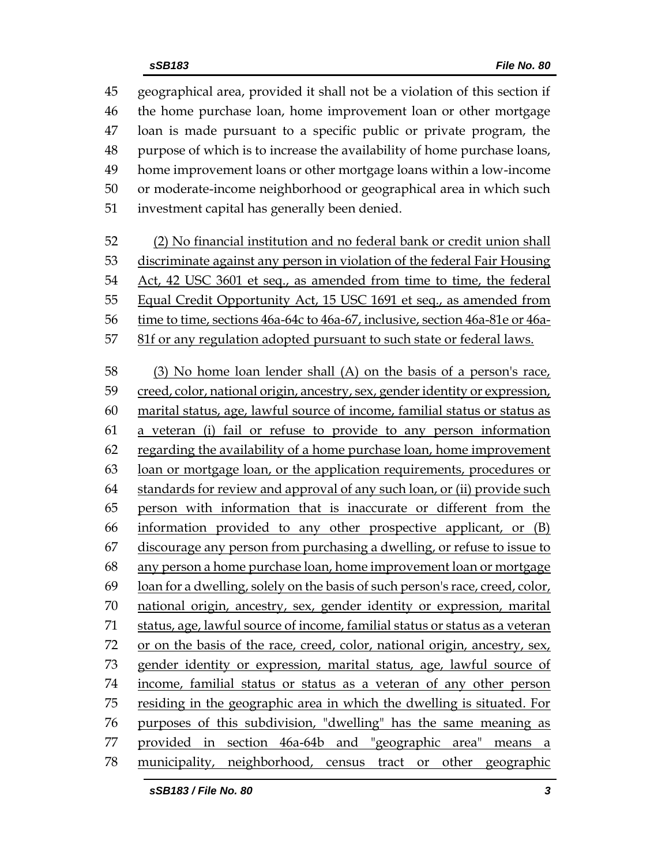geographical area, provided it shall not be a violation of this section if the home purchase loan, home improvement loan or other mortgage loan is made pursuant to a specific public or private program, the purpose of which is to increase the availability of home purchase loans, home improvement loans or other mortgage loans within a low-income or moderate-income neighborhood or geographical area in which such investment capital has generally been denied. (2) No financial institution and no federal bank or credit union shall discriminate against any person in violation of the federal Fair Housing Act, 42 USC 3601 et seq., as amended from time to time, the federal 55 Equal Credit Opportunity Act, 15 USC 1691 et seq., as amended from time to time, sections 46a-64c to 46a-67, inclusive, section 46a-81e or 46a- 81f or any regulation adopted pursuant to such state or federal laws. (3) No home loan lender shall (A) on the basis of a person's race, creed, color, national origin, ancestry, sex, gender identity or expression, marital status, age, lawful source of income, familial status or status as a veteran (i) fail or refuse to provide to any person information regarding the availability of a home purchase loan, home improvement loan or mortgage loan, or the application requirements, procedures or standards for review and approval of any such loan, or (ii) provide such person with information that is inaccurate or different from the information provided to any other prospective applicant, or (B) discourage any person from purchasing a dwelling, or refuse to issue to any person a home purchase loan, home improvement loan or mortgage loan for a dwelling, solely on the basis of such person's race, creed, color, national origin, ancestry, sex, gender identity or expression, marital status, age, lawful source of income, familial status or status as a veteran 72 or on the basis of the race, creed, color, national origin, ancestry, sex, gender identity or expression, marital status, age, lawful source of income, familial status or status as a veteran of any other person residing in the geographic area in which the dwelling is situated. For purposes of this subdivision, "dwelling" has the same meaning as provided in section 46a-64b and "geographic area" means a municipality, neighborhood, census tract or other geographic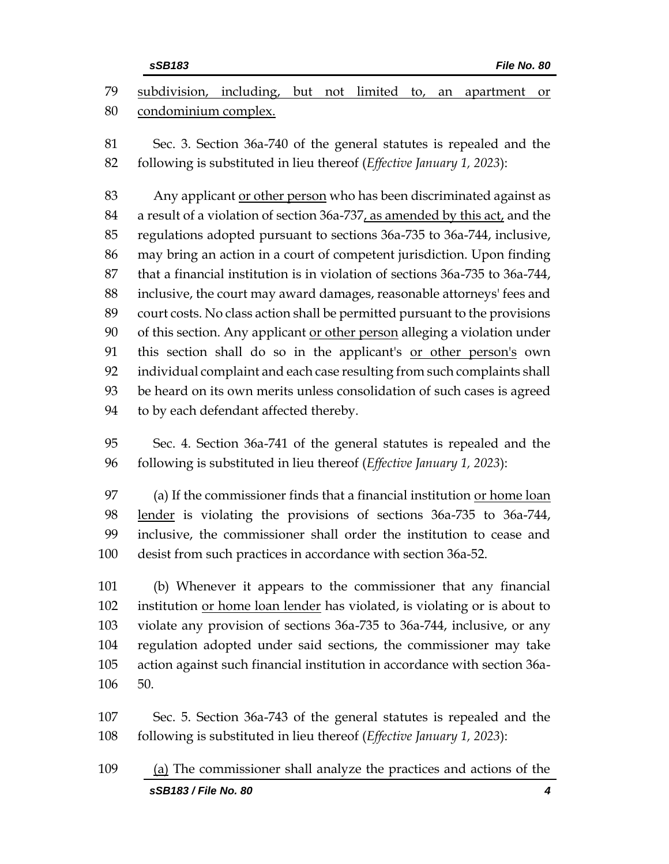|     | sSB183<br>File No. 80                                                            |
|-----|----------------------------------------------------------------------------------|
| 79  | subdivision, including, but not limited to, an<br>apartment<br><sub>or</sub>     |
| 80  | condominium complex.                                                             |
| 81  | Sec. 3. Section 36a-740 of the general statutes is repealed and the              |
| 82  | following is substituted in lieu thereof (Effective January 1, 2023):            |
| 83  | Any applicant or other person who has been discriminated against as              |
| 84  | a result of a violation of section 36a-737, as amended by this act, and the      |
| 85  | regulations adopted pursuant to sections 36a-735 to 36a-744, inclusive,          |
| 86  | may bring an action in a court of competent jurisdiction. Upon finding           |
| 87  | that a financial institution is in violation of sections 36a-735 to 36a-744,     |
| 88  | inclusive, the court may award damages, reasonable attorneys' fees and           |
| 89  | court costs. No class action shall be permitted pursuant to the provisions       |
| 90  | of this section. Any applicant or other person alleging a violation under        |
| 91  | this section shall do so in the applicant's or other person's own                |
| 92  | individual complaint and each case resulting from such complaints shall          |
| 93  | be heard on its own merits unless consolidation of such cases is agreed          |
| 94  | to by each defendant affected thereby.                                           |
| 95  | Sec. 4. Section 36a-741 of the general statutes is repealed and the              |
| 96  | following is substituted in lieu thereof (Effective January 1, 2023):            |
| 97  | (a) If the commissioner finds that a financial institution or home loan          |
| 98  | lender is violating the provisions of sections 36a-735 to 36a-744,               |
| 99  | inclusive, the commissioner shall order the institution to cease and             |
| 100 | desist from such practices in accordance with section 36a-52.                    |
| 101 | (b) Whenever it appears to the commissioner that any financial                   |
| 102 | institution <u>or home loan lender</u> has violated, is violating or is about to |
| 103 | violate any provision of sections 36a-735 to 36a-744, inclusive, or any          |
| 104 | regulation adopted under said sections, the commissioner may take                |
| 105 | action against such financial institution in accordance with section 36a-        |
| 106 | 50.                                                                              |
| 107 | Sec. 5. Section 36a-743 of the general statutes is repealed and the              |
| 108 | following is substituted in lieu thereof (Effective January 1, 2023):            |
| 109 | (a) The commissioner shall analyze the practices and actions of the              |
|     | sSB183 / File No. 80<br>4                                                        |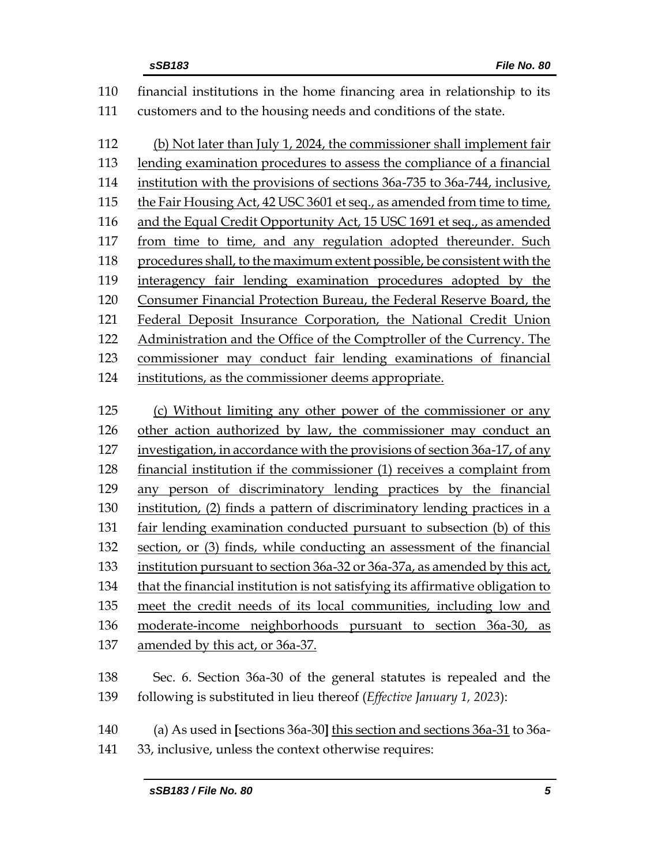| 110 | financial institutions in the home financing area in relationship to its       |
|-----|--------------------------------------------------------------------------------|
| 111 | customers and to the housing needs and conditions of the state.                |
|     |                                                                                |
| 112 | (b) Not later than July 1, 2024, the commissioner shall implement fair         |
| 113 | lending examination procedures to assess the compliance of a financial         |
| 114 | institution with the provisions of sections 36a-735 to 36a-744, inclusive,     |
| 115 | the Fair Housing Act, 42 USC 3601 et seq., as amended from time to time,       |
| 116 | and the Equal Credit Opportunity Act, 15 USC 1691 et seq., as amended          |
| 117 | from time to time, and any regulation adopted thereunder. Such                 |
| 118 | procedures shall, to the maximum extent possible, be consistent with the       |
| 119 | interagency fair lending examination procedures adopted by the                 |
| 120 | Consumer Financial Protection Bureau, the Federal Reserve Board, the           |
| 121 | Federal Deposit Insurance Corporation, the National Credit Union               |
| 122 | Administration and the Office of the Comptroller of the Currency. The          |
| 123 | commissioner may conduct fair lending examinations of financial                |
| 124 | institutions, as the commissioner deems appropriate.                           |
|     |                                                                                |
| 125 | (c) Without limiting any other power of the commissioner or any                |
| 126 | other action authorized by law, the commissioner may conduct an                |
| 127 | investigation, in accordance with the provisions of section 36a-17, of any     |
| 128 | financial institution if the commissioner (1) receives a complaint from        |
| 129 | any person of discriminatory lending practices by the financial                |
| 130 | institution, (2) finds a pattern of discriminatory lending practices in a      |
| 131 | fair lending examination conducted pursuant to subsection (b) of this          |
| 132 | section, or (3) finds, while conducting an assessment of the financial         |
| 133 | institution pursuant to section 36a-32 or 36a-37a, as amended by this act,     |
| 134 | that the financial institution is not satisfying its affirmative obligation to |
| 135 | meet the credit needs of its local communities, including low and              |
| 136 | moderate-income neighborhoods pursuant to section 36a-30,<br>as                |
| 137 | <u>amended by this act, or 36a-37.</u>                                         |
|     |                                                                                |
| 138 | Sec. 6. Section 36a-30 of the general statutes is repealed and the             |
| 139 | following is substituted in lieu thereof (Effective January 1, 2023):          |
| 140 | (a) As used in [sections 36a-30] this section and sections 36a-31 to 36a-      |
| 141 |                                                                                |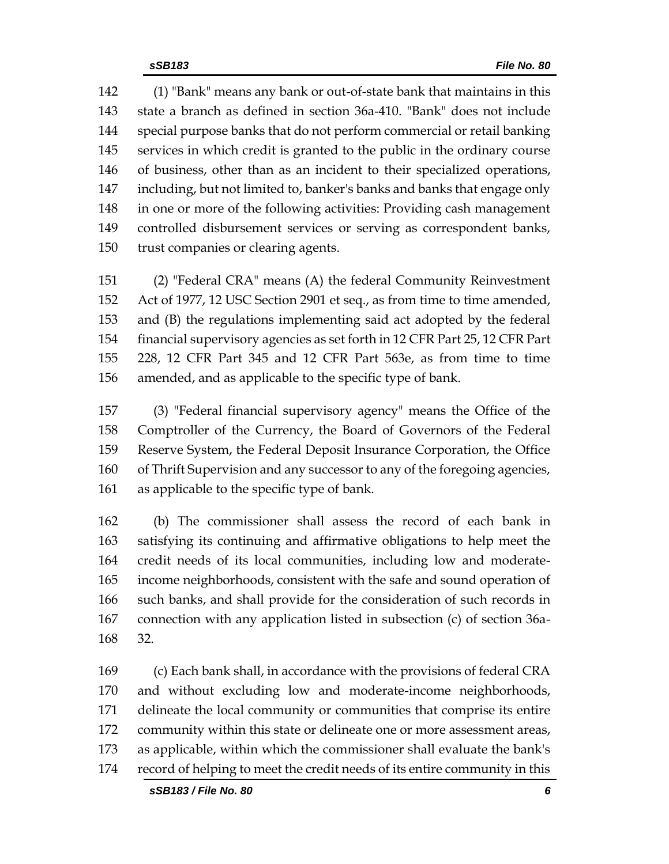(1) "Bank" means any bank or out-of-state bank that maintains in this state a branch as defined in section 36a-410. "Bank" does not include special purpose banks that do not perform commercial or retail banking services in which credit is granted to the public in the ordinary course of business, other than as an incident to their specialized operations, including, but not limited to, banker's banks and banks that engage only in one or more of the following activities: Providing cash management controlled disbursement services or serving as correspondent banks, trust companies or clearing agents.

 (2) "Federal CRA" means (A) the federal Community Reinvestment Act of 1977, 12 USC Section 2901 et seq., as from time to time amended, and (B) the regulations implementing said act adopted by the federal financial supervisory agencies as set forth in 12 CFR Part 25, 12 CFR Part 228, 12 CFR Part 345 and 12 CFR Part 563e, as from time to time amended, and as applicable to the specific type of bank.

 (3) "Federal financial supervisory agency" means the Office of the Comptroller of the Currency, the Board of Governors of the Federal Reserve System, the Federal Deposit Insurance Corporation, the Office of Thrift Supervision and any successor to any of the foregoing agencies, as applicable to the specific type of bank.

 (b) The commissioner shall assess the record of each bank in satisfying its continuing and affirmative obligations to help meet the credit needs of its local communities, including low and moderate- income neighborhoods, consistent with the safe and sound operation of such banks, and shall provide for the consideration of such records in connection with any application listed in subsection (c) of section 36a-32.

 (c) Each bank shall, in accordance with the provisions of federal CRA and without excluding low and moderate-income neighborhoods, delineate the local community or communities that comprise its entire community within this state or delineate one or more assessment areas, as applicable, within which the commissioner shall evaluate the bank's record of helping to meet the credit needs of its entire community in this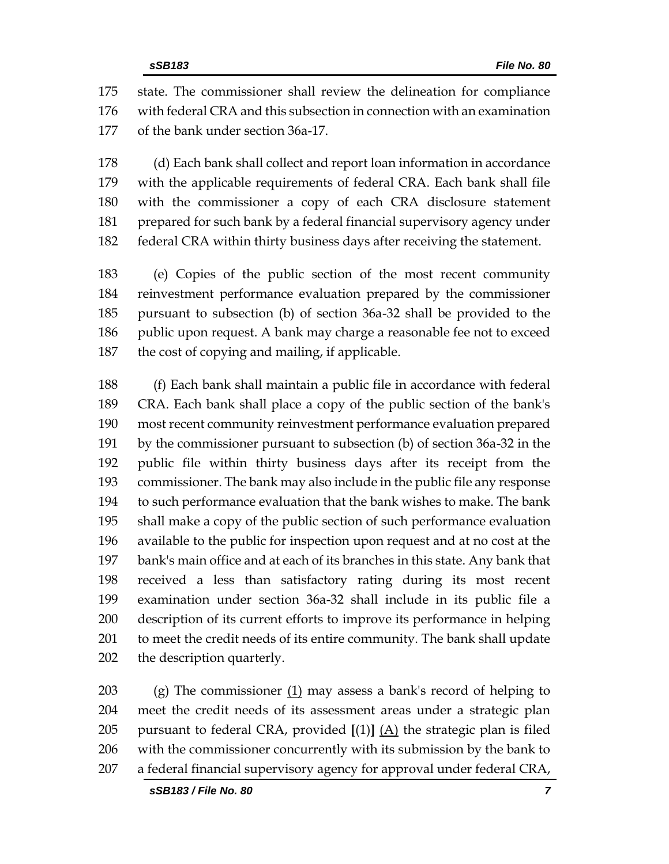state. The commissioner shall review the delineation for compliance with federal CRA and this subsection in connection with an examination of the bank under section 36a-17.

 (d) Each bank shall collect and report loan information in accordance with the applicable requirements of federal CRA. Each bank shall file with the commissioner a copy of each CRA disclosure statement prepared for such bank by a federal financial supervisory agency under federal CRA within thirty business days after receiving the statement.

 (e) Copies of the public section of the most recent community reinvestment performance evaluation prepared by the commissioner pursuant to subsection (b) of section 36a-32 shall be provided to the 186 public upon request. A bank may charge a reasonable fee not to exceed the cost of copying and mailing, if applicable.

 (f) Each bank shall maintain a public file in accordance with federal CRA. Each bank shall place a copy of the public section of the bank's most recent community reinvestment performance evaluation prepared by the commissioner pursuant to subsection (b) of section 36a-32 in the public file within thirty business days after its receipt from the commissioner. The bank may also include in the public file any response to such performance evaluation that the bank wishes to make. The bank shall make a copy of the public section of such performance evaluation available to the public for inspection upon request and at no cost at the bank's main office and at each of its branches in this state. Any bank that received a less than satisfactory rating during its most recent examination under section 36a-32 shall include in its public file a description of its current efforts to improve its performance in helping to meet the credit needs of its entire community. The bank shall update the description quarterly.

 (g) The commissioner (1) may assess a bank's record of helping to meet the credit needs of its assessment areas under a strategic plan pursuant to federal CRA, provided **[**(1)**]** (A) the strategic plan is filed with the commissioner concurrently with its submission by the bank to a federal financial supervisory agency for approval under federal CRA,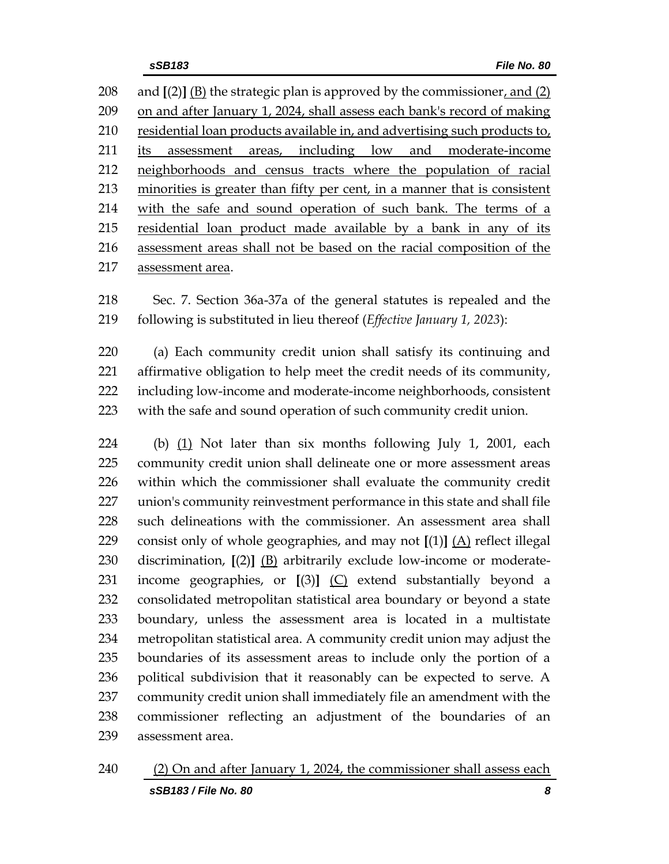and **[**(2)**]** (B) the strategic plan is approved by the commissioner, and (2) on and after January 1, 2024, shall assess each bank's record of making 210 residential loan products available in, and advertising such products to, 211 its assessment areas, including low and moderate-income neighborhoods and census tracts where the population of racial minorities is greater than fifty per cent, in a manner that is consistent with the safe and sound operation of such bank. The terms of a residential loan product made available by a bank in any of its assessment areas shall not be based on the racial composition of the assessment area.

 Sec. 7. Section 36a-37a of the general statutes is repealed and the following is substituted in lieu thereof (*Effective January 1, 2023*):

 (a) Each community credit union shall satisfy its continuing and affirmative obligation to help meet the credit needs of its community, including low-income and moderate-income neighborhoods, consistent with the safe and sound operation of such community credit union.

 (b) (1) Not later than six months following July 1, 2001, each community credit union shall delineate one or more assessment areas within which the commissioner shall evaluate the community credit union's community reinvestment performance in this state and shall file such delineations with the commissioner. An assessment area shall consist only of whole geographies, and may not **[**(1)**]** (A) reflect illegal discrimination, **[**(2)**]** (B) arbitrarily exclude low-income or moderate- income geographies, or **[**(3)**]** (C) extend substantially beyond a consolidated metropolitan statistical area boundary or beyond a state boundary, unless the assessment area is located in a multistate metropolitan statistical area. A community credit union may adjust the boundaries of its assessment areas to include only the portion of a political subdivision that it reasonably can be expected to serve. A community credit union shall immediately file an amendment with the commissioner reflecting an adjustment of the boundaries of an assessment area.

*sSB183 / File No. 80 8* (2) On and after January 1, 2024, the commissioner shall assess each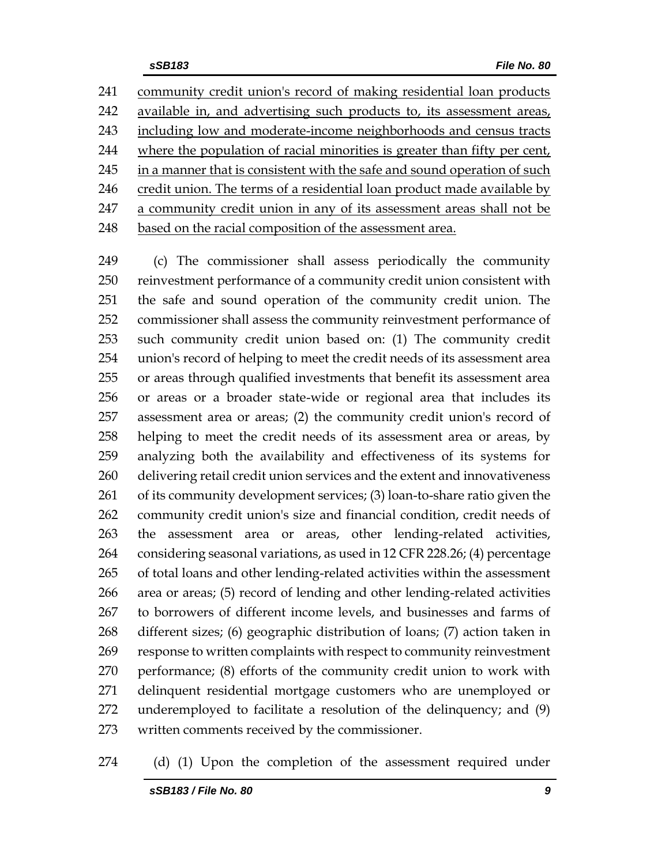community credit union's record of making residential loan products available in, and advertising such products to, its assessment areas, including low and moderate-income neighborhoods and census tracts where the population of racial minorities is greater than fifty per cent, 245 in a manner that is consistent with the safe and sound operation of such 246 credit union. The terms of a residential loan product made available by a community credit union in any of its assessment areas shall not be 248 based on the racial composition of the assessment area.

 (c) The commissioner shall assess periodically the community reinvestment performance of a community credit union consistent with the safe and sound operation of the community credit union. The commissioner shall assess the community reinvestment performance of such community credit union based on: (1) The community credit union's record of helping to meet the credit needs of its assessment area or areas through qualified investments that benefit its assessment area or areas or a broader state-wide or regional area that includes its assessment area or areas; (2) the community credit union's record of helping to meet the credit needs of its assessment area or areas, by analyzing both the availability and effectiveness of its systems for delivering retail credit union services and the extent and innovativeness of its community development services; (3) loan-to-share ratio given the community credit union's size and financial condition, credit needs of the assessment area or areas, other lending-related activities, considering seasonal variations, as used in 12 CFR 228.26; (4) percentage of total loans and other lending-related activities within the assessment area or areas; (5) record of lending and other lending-related activities to borrowers of different income levels, and businesses and farms of different sizes; (6) geographic distribution of loans; (7) action taken in response to written complaints with respect to community reinvestment performance; (8) efforts of the community credit union to work with delinquent residential mortgage customers who are unemployed or underemployed to facilitate a resolution of the delinquency; and (9) written comments received by the commissioner.

#### (d) (1) Upon the completion of the assessment required under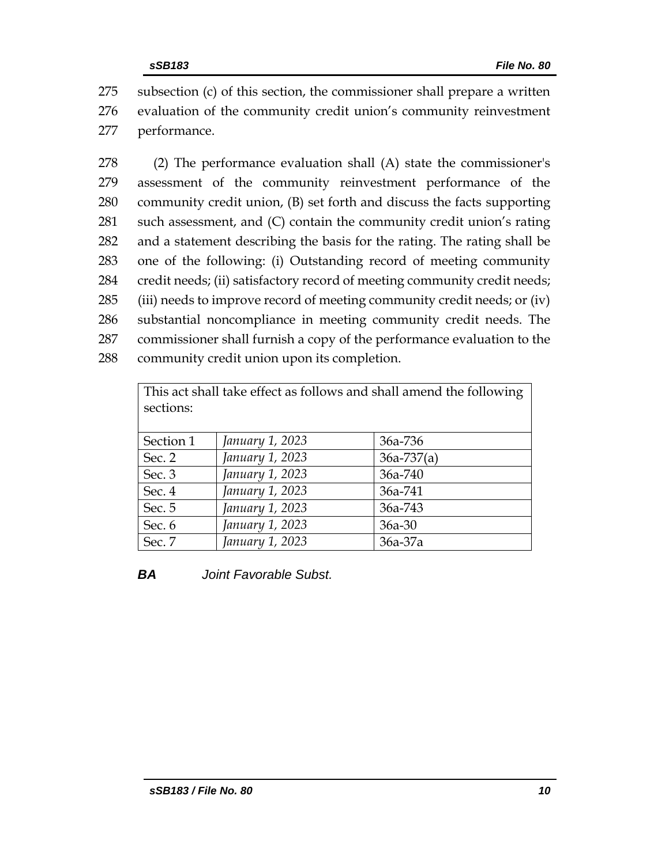275 subsection (c) of this section, the commissioner shall prepare a written 276 evaluation of the community credit union's community reinvestment 277 performance.

 (2) The performance evaluation shall (A) state the commissioner's assessment of the community reinvestment performance of the community credit union, (B) set forth and discuss the facts supporting such assessment, and (C) contain the community credit union's rating and a statement describing the basis for the rating. The rating shall be one of the following: (i) Outstanding record of meeting community credit needs; (ii) satisfactory record of meeting community credit needs; 285 (iii) needs to improve record of meeting community credit needs; or (iv) substantial noncompliance in meeting community credit needs. The commissioner shall furnish a copy of the performance evaluation to the community credit union upon its completion.

| This act shall take effect as follows and shall amend the following |                 |                |  |  |  |  |  |
|---------------------------------------------------------------------|-----------------|----------------|--|--|--|--|--|
| sections:                                                           |                 |                |  |  |  |  |  |
|                                                                     |                 |                |  |  |  |  |  |
| Section 1                                                           | January 1, 2023 | 36a-736        |  |  |  |  |  |
| Sec. 2                                                              | January 1, 2023 | $36a - 737(a)$ |  |  |  |  |  |
| Sec. 3                                                              | January 1, 2023 | 36a-740        |  |  |  |  |  |
| Sec. 4                                                              | January 1, 2023 | 36a-741        |  |  |  |  |  |
| Sec. 5                                                              | January 1, 2023 | 36a-743        |  |  |  |  |  |
| Sec. 6                                                              | January 1, 2023 | $36a - 30$     |  |  |  |  |  |
| Sec. 7                                                              | January 1, 2023 | 36a-37a        |  |  |  |  |  |

*BA Joint Favorable Subst.*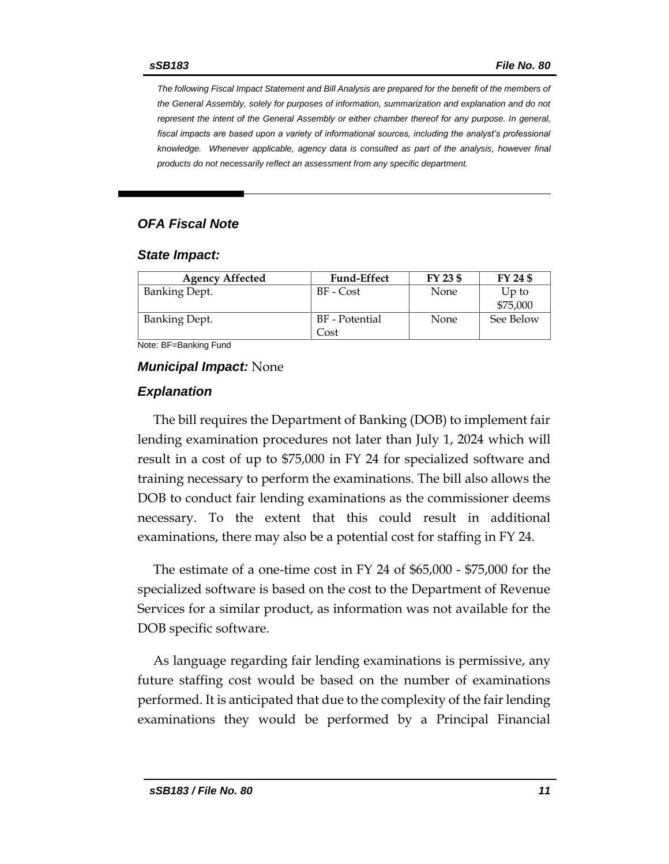*The following Fiscal Impact Statement and Bill Analysis are prepared for the benefit of the members of the General Assembly, solely for purposes of information, summarization and explanation and do not represent the intent of the General Assembly or either chamber thereof for any purpose. In general,*  fiscal impacts are based upon a variety of informational sources, including the analyst's professional *knowledge. Whenever applicable, agency data is consulted as part of the analysis, however final products do not necessarily reflect an assessment from any specific department.*

#### *OFA Fiscal Note*

#### *State Impact:*

| <b>Agency Affected</b> | <b>Fund-Effect</b>     | FY 23 \$ | FY 24 \$            |
|------------------------|------------------------|----------|---------------------|
| <b>Banking Dept.</b>   | BF - Cost              | None     | $Up$ to<br>\$75,000 |
| <b>Banking Dept.</b>   | BF - Potential<br>Cost | None     | See Below           |

Note: BF=Banking Fund

#### *Municipal Impact:* None

#### *Explanation*

The bill requires the Department of Banking (DOB) to implement fair lending examination procedures not later than July 1, 2024 which will result in a cost of up to \$75,000 in FY 24 for specialized software and training necessary to perform the examinations. The bill also allows the DOB to conduct fair lending examinations as the commissioner deems necessary. To the extent that this could result in additional examinations, there may also be a potential cost for staffing in FY 24.

The estimate of a one-time cost in FY 24 of \$65,000 - \$75,000 for the specialized software is based on the cost to the Department of Revenue Services for a similar product, as information was not available for the DOB specific software.

As language regarding fair lending examinations is permissive, any future staffing cost would be based on the number of examinations performed. It is anticipated that due to the complexity of the fair lending examinations they would be performed by a Principal Financial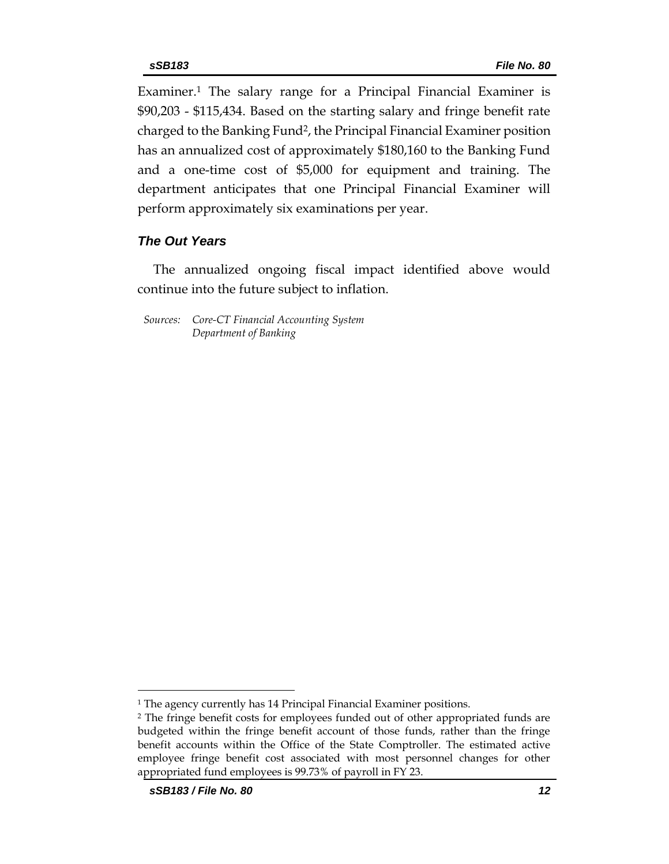Examiner.<sup>1</sup> The salary range for a Principal Financial Examiner is \$90,203 - \$115,434. Based on the starting salary and fringe benefit rate charged to the Banking Fund2, the Principal Financial Examiner position has an annualized cost of approximately \$180,160 to the Banking Fund and a one-time cost of \$5,000 for equipment and training. The department anticipates that one Principal Financial Examiner will perform approximately six examinations per year.

#### *The Out Years*

The annualized ongoing fiscal impact identified above would continue into the future subject to inflation.

*Sources: Core-CT Financial Accounting System Department of Banking*

<sup>&</sup>lt;sup>1</sup> The agency currently has 14 Principal Financial Examiner positions.

<sup>2</sup> The fringe benefit costs for employees funded out of other appropriated funds are budgeted within the fringe benefit account of those funds, rather than the fringe benefit accounts within the Office of the State Comptroller. The estimated active employee fringe benefit cost associated with most personnel changes for other appropriated fund employees is 99.73% of payroll in FY 23.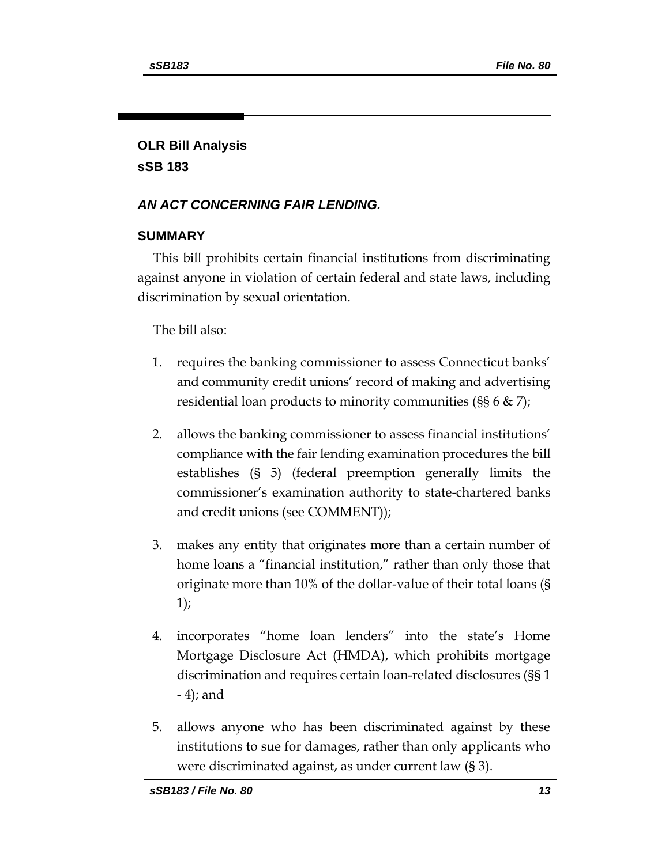# **OLR Bill Analysis sSB 183**

# *AN ACT CONCERNING FAIR LENDING.*

# **SUMMARY**

This bill prohibits certain financial institutions from discriminating against anyone in violation of certain federal and state laws, including discrimination by sexual orientation.

The bill also:

- 1. requires the banking commissioner to assess Connecticut banks' and community credit unions' record of making and advertising residential loan products to minority communities (§§ 6 & 7);
- 2. allows the banking commissioner to assess financial institutions' compliance with the fair lending examination procedures the bill establishes (§ 5) (federal preemption generally limits the commissioner's examination authority to state-chartered banks and credit unions (see COMMENT));
- 3. makes any entity that originates more than a certain number of home loans a "financial institution," rather than only those that originate more than 10% of the dollar-value of their total loans (§ 1);
- 4. incorporates "home loan lenders" into the state's Home Mortgage Disclosure Act (HMDA), which prohibits mortgage discrimination and requires certain loan-related disclosures (§§ 1 - 4); and
- 5. allows anyone who has been discriminated against by these institutions to sue for damages, rather than only applicants who were discriminated against, as under current law (§ 3).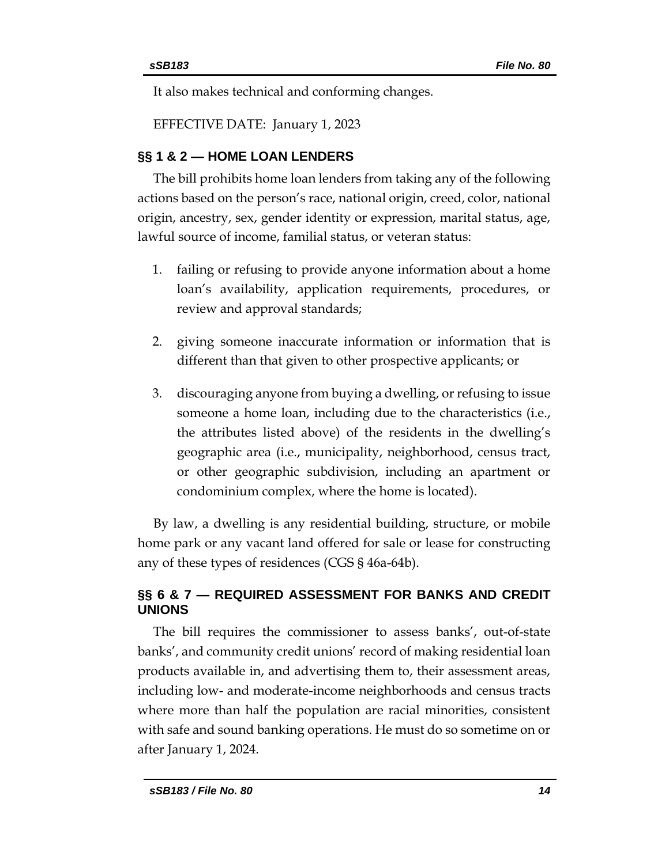It also makes technical and conforming changes.

EFFECTIVE DATE: January 1, 2023

# **§§ 1 & 2 — HOME LOAN LENDERS**

The bill prohibits home loan lenders from taking any of the following actions based on the person's race, national origin, creed, color, national origin, ancestry, sex, gender identity or expression, marital status, age, lawful source of income, familial status, or veteran status:

- 1. failing or refusing to provide anyone information about a home loan's availability, application requirements, procedures, or review and approval standards;
- 2. giving someone inaccurate information or information that is different than that given to other prospective applicants; or
- 3. discouraging anyone from buying a dwelling, or refusing to issue someone a home loan, including due to the characteristics (i.e., the attributes listed above) of the residents in the dwelling's geographic area (i.e., municipality, neighborhood, census tract, or other geographic subdivision, including an apartment or condominium complex, where the home is located).

By law, a dwelling is any residential building, structure, or mobile home park or any vacant land offered for sale or lease for constructing any of these types of residences (CGS § 46a-64b).

# **§§ 6 & 7 — REQUIRED ASSESSMENT FOR BANKS AND CREDIT UNIONS**

The bill requires the commissioner to assess banks', out-of-state banks', and community credit unions' record of making residential loan products available in, and advertising them to, their assessment areas, including low- and moderate-income neighborhoods and census tracts where more than half the population are racial minorities, consistent with safe and sound banking operations. He must do so sometime on or after January 1, 2024.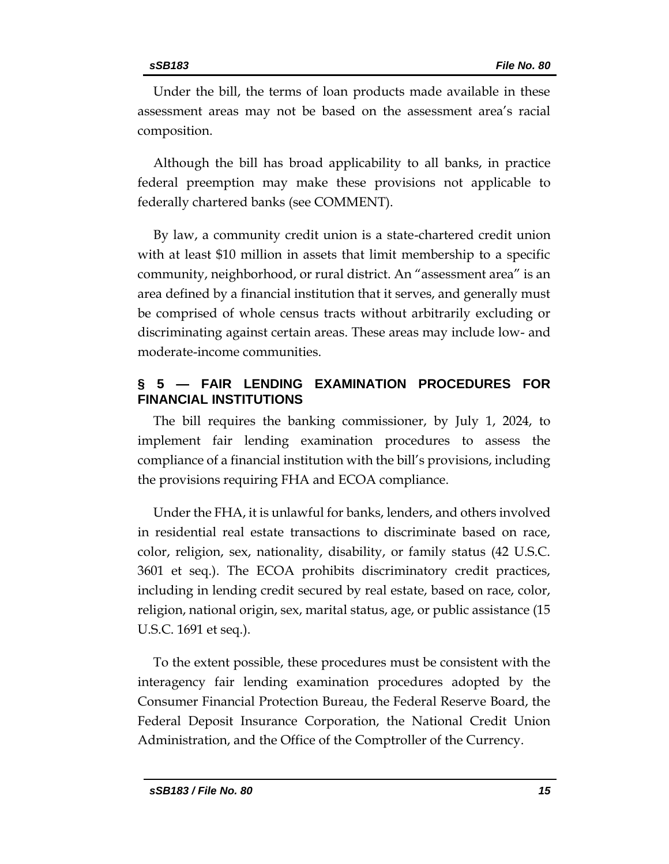Under the bill, the terms of loan products made available in these assessment areas may not be based on the assessment area's racial composition.

Although the bill has broad applicability to all banks, in practice federal preemption may make these provisions not applicable to federally chartered banks (see COMMENT).

By law, a community credit union is a state-chartered credit union with at least \$10 million in assets that limit membership to a specific community, neighborhood, or rural district. An "assessment area" is an area defined by a financial institution that it serves, and generally must be comprised of whole census tracts without arbitrarily excluding or discriminating against certain areas. These areas may include low- and moderate-income communities.

# **§ 5 — FAIR LENDING EXAMINATION PROCEDURES FOR FINANCIAL INSTITUTIONS**

The bill requires the banking commissioner, by July 1, 2024, to implement fair lending examination procedures to assess the compliance of a financial institution with the bill's provisions, including the provisions requiring FHA and ECOA compliance.

Under the FHA, it is unlawful for banks, lenders, and others involved in residential real estate transactions to discriminate based on race, color, religion, sex, nationality, disability, or family status (42 U.S.C. 3601 et seq.). The ECOA prohibits discriminatory credit practices, including in lending credit secured by real estate, based on race, color, religion, national origin, sex, marital status, age, or public assistance (15 U.S.C. 1691 et seq.).

To the extent possible, these procedures must be consistent with the interagency fair lending examination procedures adopted by the Consumer Financial Protection Bureau, the Federal Reserve Board, the Federal Deposit Insurance Corporation, the National Credit Union Administration, and the Office of the Comptroller of the Currency.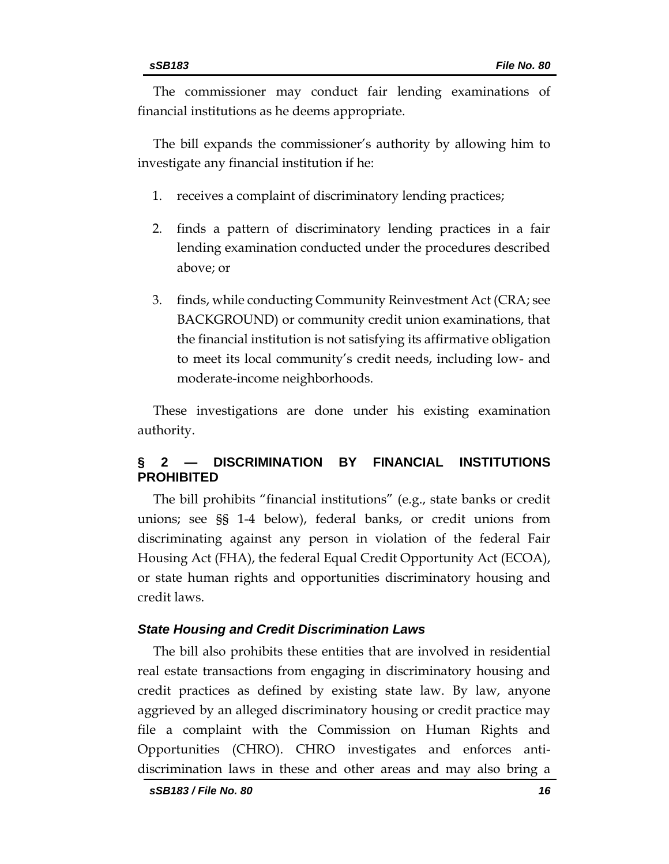The commissioner may conduct fair lending examinations of financial institutions as he deems appropriate.

The bill expands the commissioner's authority by allowing him to investigate any financial institution if he:

- 1. receives a complaint of discriminatory lending practices;
- 2. finds a pattern of discriminatory lending practices in a fair lending examination conducted under the procedures described above; or
- 3. finds, while conducting Community Reinvestment Act (CRA; see BACKGROUND) or community credit union examinations, that the financial institution is not satisfying its affirmative obligation to meet its local community's credit needs, including low- and moderate-income neighborhoods.

These investigations are done under his existing examination authority.

# **§ 2 — DISCRIMINATION BY FINANCIAL INSTITUTIONS PROHIBITED**

The bill prohibits "financial institutions" (e.g., state banks or credit unions; see §§ 1-4 below), federal banks, or credit unions from discriminating against any person in violation of the federal Fair Housing Act (FHA), the federal Equal Credit Opportunity Act (ECOA), or state human rights and opportunities discriminatory housing and credit laws.

#### *State Housing and Credit Discrimination Laws*

The bill also prohibits these entities that are involved in residential real estate transactions from engaging in discriminatory housing and credit practices as defined by existing state law. By law, anyone aggrieved by an alleged discriminatory housing or credit practice may file a complaint with the Commission on Human Rights and Opportunities (CHRO). CHRO investigates and enforces antidiscrimination laws in these and other areas and may also bring a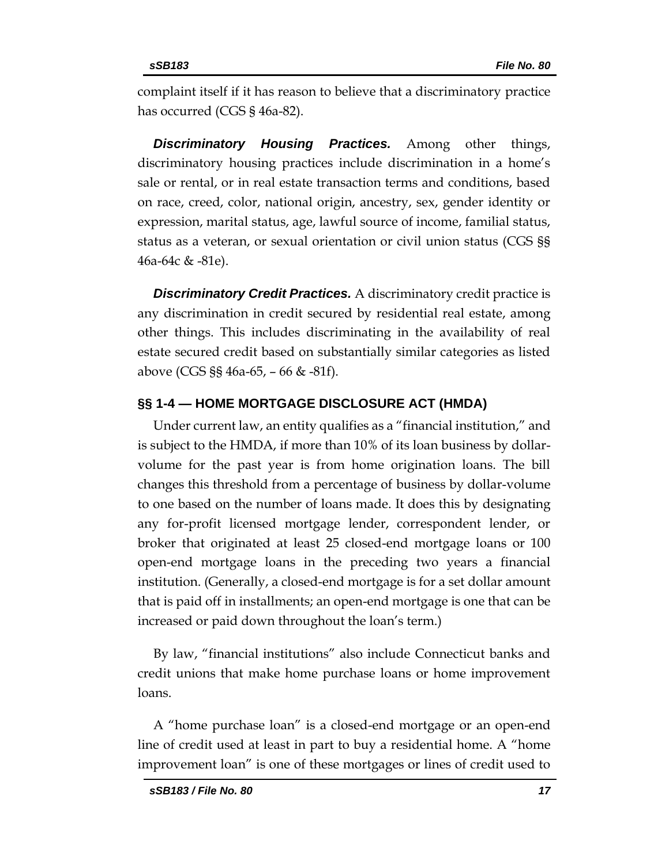complaint itself if it has reason to believe that a discriminatory practice has occurred (CGS § 46a-82).

*Discriminatory Housing Practices.* Among other things, discriminatory housing practices include discrimination in a home's sale or rental, or in real estate transaction terms and conditions, based on race, creed, color, national origin, ancestry, sex, gender identity or expression, marital status, age, lawful source of income, familial status, status as a veteran, or sexual orientation or civil union status (CGS §§ 46a-64c & -81e).

*Discriminatory Credit Practices.* A discriminatory credit practice is any discrimination in credit secured by residential real estate, among other things. This includes discriminating in the availability of real estate secured credit based on substantially similar categories as listed above (CGS §§ 46a-65, – 66 & -81f).

#### **§§ 1-4 — HOME MORTGAGE DISCLOSURE ACT (HMDA)**

Under current law, an entity qualifies as a "financial institution," and is subject to the HMDA, if more than 10% of its loan business by dollarvolume for the past year is from home origination loans. The bill changes this threshold from a percentage of business by dollar-volume to one based on the number of loans made. It does this by designating any for-profit licensed mortgage lender, correspondent lender, or broker that originated at least 25 closed-end mortgage loans or 100 open-end mortgage loans in the preceding two years a financial institution. (Generally, a closed-end mortgage is for a set dollar amount that is paid off in installments; an open-end mortgage is one that can be increased or paid down throughout the loan's term.)

By law, "financial institutions" also include Connecticut banks and credit unions that make home purchase loans or home improvement loans.

A "home purchase loan" is a closed-end mortgage or an open-end line of credit used at least in part to buy a residential home. A "home improvement loan" is one of these mortgages or lines of credit used to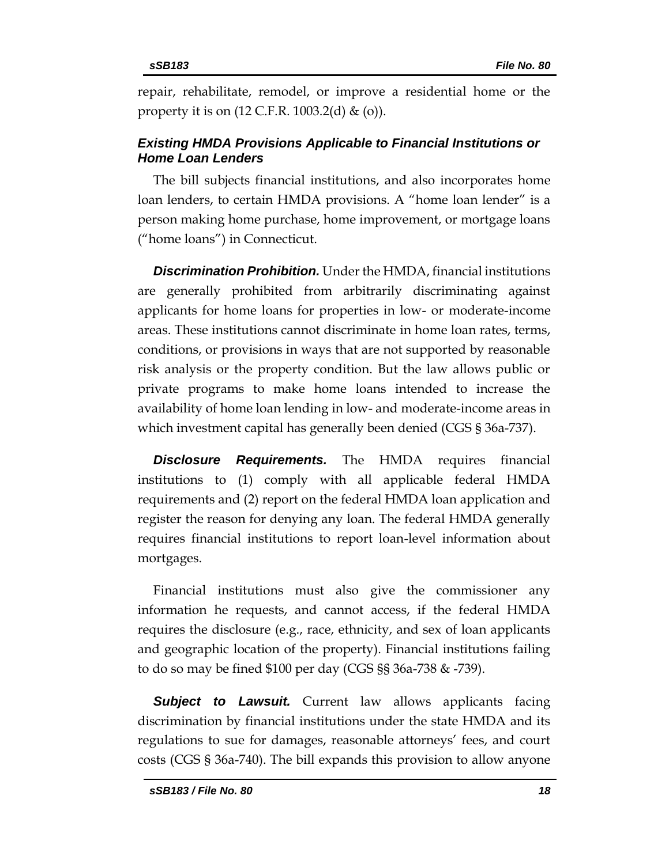repair, rehabilitate, remodel, or improve a residential home or the property it is on (12 C.F.R. 1003.2(d) & (o)).

# *Existing HMDA Provisions Applicable to Financial Institutions or Home Loan Lenders*

The bill subjects financial institutions, and also incorporates home loan lenders, to certain HMDA provisions. A "home loan lender" is a person making home purchase, home improvement, or mortgage loans ("home loans") in Connecticut.

*Discrimination Prohibition.* Under the HMDA, financial institutions are generally prohibited from arbitrarily discriminating against applicants for home loans for properties in low- or moderate-income areas. These institutions cannot discriminate in home loan rates, terms, conditions, or provisions in ways that are not supported by reasonable risk analysis or the property condition. But the law allows public or private programs to make home loans intended to increase the availability of home loan lending in low- and moderate-income areas in which investment capital has generally been denied (CGS § 36a-737).

**Disclosure Requirements.** The HMDA requires financial institutions to (1) comply with all applicable federal HMDA requirements and (2) report on the federal HMDA loan application and register the reason for denying any loan. The federal HMDA generally requires financial institutions to report loan-level information about mortgages.

Financial institutions must also give the commissioner any information he requests, and cannot access, if the federal HMDA requires the disclosure (e.g., race, ethnicity, and sex of loan applicants and geographic location of the property). Financial institutions failing to do so may be fined \$100 per day (CGS §§ 36a-738 & -739).

*Subject to Lawsuit.* Current law allows applicants facing discrimination by financial institutions under the state HMDA and its regulations to sue for damages, reasonable attorneys' fees, and court costs (CGS § 36a-740). The bill expands this provision to allow anyone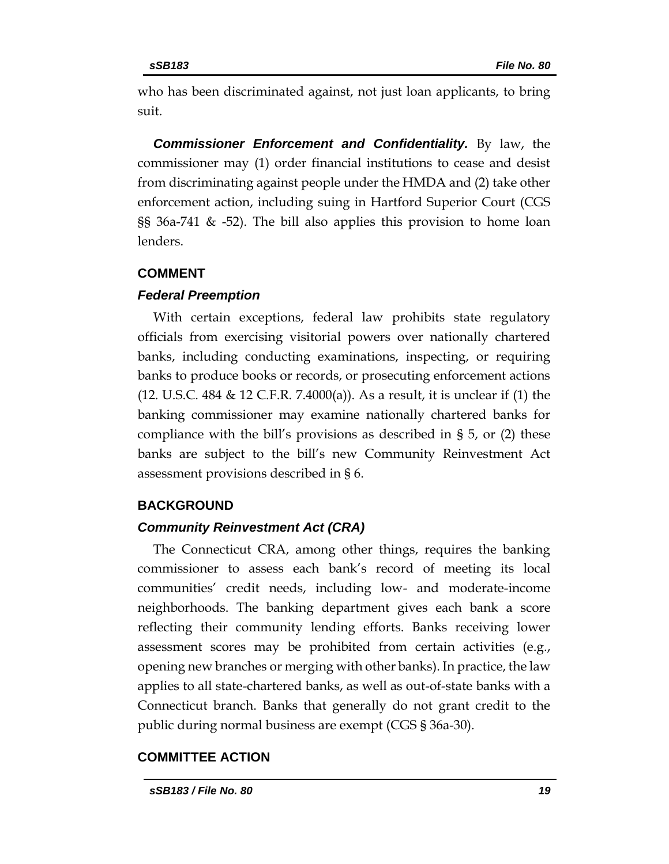who has been discriminated against, not just loan applicants, to bring suit.

*Commissioner Enforcement and Confidentiality.* By law, the commissioner may (1) order financial institutions to cease and desist from discriminating against people under the HMDA and (2) take other enforcement action, including suing in Hartford Superior Court (CGS §§ 36a-741 & -52). The bill also applies this provision to home loan lenders.

#### **COMMENT**

#### *Federal Preemption*

With certain exceptions, federal law prohibits state regulatory officials from exercising visitorial powers over nationally chartered banks, including conducting examinations, inspecting, or requiring banks to produce books or records, or prosecuting enforcement actions (12. U.S.C. 484 & 12 C.F.R. 7.4000(a)). As a result, it is unclear if (1) the banking commissioner may examine nationally chartered banks for compliance with the bill's provisions as described in § 5, or (2) these banks are subject to the bill's new Community Reinvestment Act assessment provisions described in § 6.

## **BACKGROUND**

## *Community Reinvestment Act (CRA)*

The Connecticut CRA, among other things, requires the banking commissioner to assess each bank's record of meeting its local communities' credit needs, including low- and moderate-income neighborhoods. The banking department gives each bank a score reflecting their community lending efforts. Banks receiving lower assessment scores may be prohibited from certain activities (e.g., opening new branches or merging with other banks). In practice, the law applies to all state-chartered banks, as well as out-of-state banks with a Connecticut branch. Banks that generally do not grant credit to the public during normal business are exempt (CGS § 36a-30).

## **COMMITTEE ACTION**